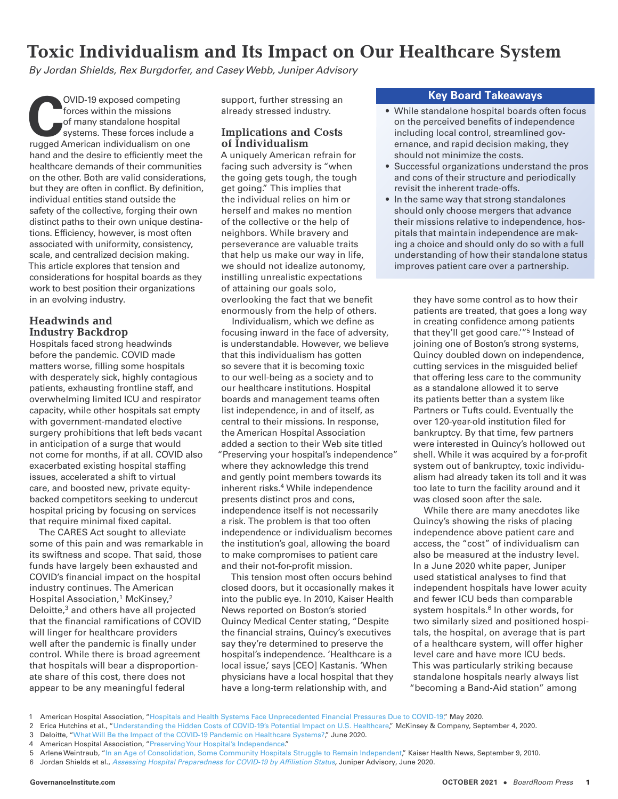# **Toxic Individualism and Its Impact on Our Healthcare System**

*By Jordan Shields, Rex Burgdorfer, and Casey Webb, Juniper Advisory*

**COVID-19 exposed competing**<br>
forces within the missions<br>
of many standalone hospital<br>
systems. These forces include a<br>
rugged American individualism on one forces within the missions of many standalone hospital systems. These forces include a hand and the desire to efficiently meet the healthcare demands of their communities on the other. Both are valid considerations, but they are often in conflict. By definition, individual entities stand outside the safety of the collective, forging their own distinct paths to their own unique destinations. Efficiency, however, is most often associated with uniformity, consistency, scale, and centralized decision making. This article explores that tension and considerations for hospital boards as they work to best position their organizations in an evolving industry.

# **Headwinds and Industry Backdrop**

Hospitals faced strong headwinds before the pandemic. COVID made matters worse, filling some hospitals with desperately sick, highly contagious patients, exhausting frontline staff, and overwhelming limited ICU and respirator capacity, while other hospitals sat empty with government-mandated elective surgery prohibitions that left beds vacant in anticipation of a surge that would not come for months, if at all. COVID also exacerbated existing hospital staffing issues, accelerated a shift to virtual care, and boosted new, private equitybacked competitors seeking to undercut hospital pricing by focusing on services that require minimal fixed capital.

The CARES Act sought to alleviate some of this pain and was remarkable in its swiftness and scope. That said, those funds have largely been exhausted and COVID's financial impact on the hospital industry continues. The American Hospital Association,<sup>1</sup> McKinsey,<sup>2</sup> Deloitte,<sup>3</sup> and others have all projected that the financial ramifications of COVID will linger for healthcare providers well after the pandemic is finally under control. While there is broad agreement that hospitals will bear a disproportionate share of this cost, there does not appear to be any meaningful federal

support, further stressing an already stressed industry.

## **Implications and Costs of Individualism**

A uniquely American refrain for facing such adversity is "when the going gets tough, the tough get going." This implies that the individual relies on him or herself and makes no mention of the collective or the help of neighbors. While bravery and perseverance are valuable traits that help us make our way in life, we should not idealize autonomy, instilling unrealistic expectations of attaining our goals solo, overlooking the fact that we benefit enormously from the help of others.

Individualism, which we define as focusing inward in the face of adversity, is understandable. However, we believe that this individualism has gotten so severe that it is becoming toxic to our well-being as a society and to our healthcare institutions. Hospital boards and management teams often list independence, in and of itself, as central to their missions. In response, the American Hospital Association added a section to their Web site titled "Preserving your hospital's independence" where they acknowledge this trend and gently point members towards its inherent risks.<sup>4</sup> While independence presents distinct pros and cons, independence itself is not necessarily a risk. The problem is that too often independence or individualism becomes the institution's goal, allowing the board to make compromises to patient care and their not-for-profit mission.

This tension most often occurs behind closed doors, but it occasionally makes it into the public eye. In 2010, Kaiser Health News reported on Boston's storied Quincy Medical Center stating, "Despite the financial strains, Quincy's executives say they're determined to preserve the hospital's independence. 'Healthcare is a local issue,' says [CEO] Kastanis. 'When physicians have a local hospital that they have a long-term relationship with, and

## **Key Board Takeaways**

- While standalone hospital boards often focus on the perceived benefits of independence including local control, streamlined governance, and rapid decision making, they should not minimize the costs.
- Successful organizations understand the pros and cons of their structure and periodically revisit the inherent trade-offs.
- In the same way that strong standalones should only choose mergers that advance their missions relative to independence, hospitals that maintain independence are making a choice and should only do so with a full understanding of how their standalone status improves patient care over a partnership.

they have some control as to how their patients are treated, that goes a long way in creating confidence among patients that they'll get good care.'"5 Instead of joining one of Boston's strong systems, Quincy doubled down on independence, cutting services in the misguided belief that offering less care to the community as a standalone allowed it to serve its patients better than a system like Partners or Tufts could. Eventually the over 120-year-old institution filed for bankruptcy. By that time, few partners were interested in Quincy's hollowed out shell. While it was acquired by a for-profit system out of bankruptcy, toxic individualism had already taken its toll and it was too late to turn the facility around and it was closed soon after the sale.

While there are many anecdotes like Quincy's showing the risks of placing independence above patient care and access, the "cost" of individualism can also be measured at the industry level. In a June 2020 white paper, Juniper used statistical analyses to find that independent hospitals have lower acuity and fewer ICU beds than comparable system hospitals.<sup>6</sup> In other words, for two similarly sized and positioned hospitals, the hospital, on average that is part of a healthcare system, will offer higher level care and have more ICU beds. This was particularly striking because standalone hospitals nearly always list "becoming a Band-Aid station" among

4 American Hospital Association, ["Preserving Your Hospital's](https://trustees.aha.org/articles/1177-preserving-your-hospitals-independence) Independence."

<sup>1</sup> American Hospital Association, ["Hospitals and Health Systems Face Unprecedented Financial Pressures Due to COVID-19,"](https://www.aha.org/guidesreports/2020-05-05-hospitals-and-health-systems-face-unprecedented-financial-pressures-due) May 2020.

<sup>2</sup> Erica Hutchins et al., ["Understanding the Hidden Costs of COVID-19's Potential Impact on U.S. Healthcare,"](https://www.mckinsey.com/industries/healthcare-systems-and-services/our-insights/understanding-the-hidden-costs-of-covid-19s-potential-impact-on-us-healthcare) McKinsey & Company, September 4, 2020.

<sup>3</sup> Deloitte, "[What Will Be the Impact of the COVID-19 Pandemic on Healthcare Systems?,](https://www2.deloitte.com/fr/fr/pages/covid-insights/articles/impact-covid19-healthcare-systems.html)" June 2020.

<sup>5</sup> Arlene Weintraub, ["In an Age of Consolidation, Some Community Hospitals Struggle to Remain Independent](https://khn.org/news/community-hospitals/)," Kaiser Health News, September 9, 2010.

<sup>6</sup> Jordan Shields et al., *[Assessing Hospital Preparedness for COVID-19 by Affiliation Status,](https://www.juniperadvisory.com/wp-content/uploads/2020/09/Assessing-Hospital-Preparedness-for-COVID-19-June-2020.pdf)* Juniper Advisory, June 2020.